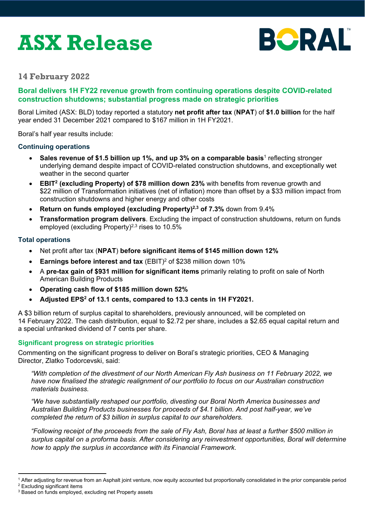# **ASX Release**



# **14 February 2022**

# **Boral delivers 1H FY22 revenue growth from continuing operations despite COVID-related construction shutdowns; substantial progress made on strategic priorities**

Boral Limited (ASX: BLD) today reported a statutory **net profit after tax** (**NPAT**) of **\$1.0 billion** for the half year ended 31 December 2021 compared to \$167 million in 1H FY2021.

Boral's half year results include:

## **Continuing operations**

- **Sales revenue of \$1.5 billion up 1%, and up 3% on a comparable basis<sup>1</sup> reflecting stronger** underlying demand despite impact of COVID-related construction shutdowns, and exceptionally wet weather in the second quarter
- **EBIT<sup>2</sup> (excluding Property) of \$78 million down 23% with benefits from revenue growth and** \$22 million of Transformation initiatives (net of inflation) more than offset by a \$33 million impact from construction shutdowns and higher energy and other costs
- **Return on funds employed (excluding Property)<sup>2,3</sup> of 7.3% down from 9.4%**
- **Transformation program delivers**. Excluding the impact of construction shutdowns, return on funds employed (excluding Property)<sup>2,3</sup> rises to  $10.5\%$

## **Total operations**

- Net profit after tax (**NPAT**) **before significant itemsof \$145 million down 12%**
- **Earnings before interest and tax** (EBIT)<sup>2</sup> of \$238 million down 10%
- A **pre-tax gain of \$931 million for significant items** primarily relating to profit on sale of North American Building Products
- **Operating cash flow of \$185 million down 52%**
- Adjusted EPS<sup>2</sup> of 13.1 cents, compared to 13.3 cents in 1H FY2021.

A \$3 billion return of surplus capital to shareholders, previously announced, will be completed on 14 February 2022. The cash distribution, equal to \$2.72 per share, includes a \$2.65 equal capital return and a special unfranked dividend of 7 cents per share.

## **Significant progress on strategic priorities**

Commenting on the significant progress to deliver on Boral's strategic priorities, CEO & Managing Director, Zlatko Todorcevski, said:

*"With completion of the divestment of our North American Fly Ash business on 11 February 2022, we have now finalised the strategic realignment of our portfolio to focus on our Australian construction materials business.* 

*"We have substantially reshaped our portfolio, divesting our Boral North America businesses and Australian Building Products businesses for proceeds of \$4.1 billion. And post half-year, we've completed the return of \$3 billion in surplus capital to our shareholders.* 

*"Following receipt of the proceeds from the sale of Fly Ash, Boral has at least a further \$500 million in surplus capital on a proforma basis. After considering any reinvestment opportunities, Boral will determine how to apply the surplus in accordance with its Financial Framework.* 

 $1$  After adjusting for revenue from an Asphalt joint venture, now equity accounted but proportionally consolidated in the prior comparable period  $2$  Excluding significant items

<sup>3</sup> Based on funds employed, excluding net Property assets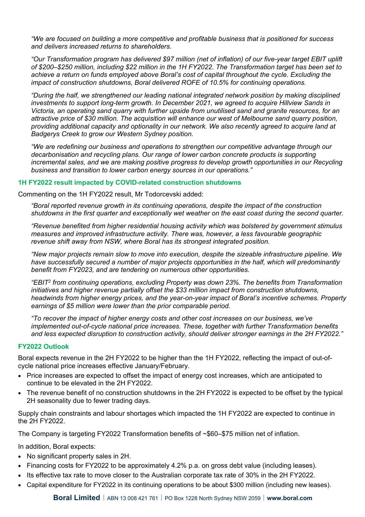*"We are focused on building a more competitive and profitable business that is positioned for success and delivers increased returns to shareholders.* 

*"Our Transformation program has delivered \$97 million (net of inflation) of our five-year target EBIT uplift of \$200–\$250 million, including \$22 million in the 1H FY2022. The Transformation target has been set to achieve a return on funds employed above Boral's cost of capital throughout the cycle. Excluding the impact of construction shutdowns, Boral delivered ROFE of 10.5% for continuing operations.* 

*"During the half, we strengthened our leading national integrated network position by making disciplined investments to support long-term growth. In December 2021, we agreed to acquire Hillview Sands in Victoria, an operating sand quarry with further upside from unutilised sand and granite resources, for an attractive price of \$30 million. The acquisition will enhance our west of Melbourne sand quarry position, providing additional capacity and optionality in our network. We also recently agreed to acquire land at Badgerys Creek to grow our Western Sydney position.* 

*"We are redefining our business and operations to strengthen our competitive advantage through our decarbonisation and recycling plans. Our range of lower carbon concrete products is supporting*  incremental sales, and we are making positive progress to develop growth opportunities in our Recycling *business and transition to lower carbon energy sources in our operations."* 

## **1H FY2022 result impacted by COVID-related construction shutdowns**

Commenting on the 1H FY2022 result, Mr Todorcevski added:

*"Boral reported revenue growth in its continuing operations, despite the impact of the construction shutdowns in the first quarter and exceptionally wet weather on the east coast during the second quarter.* 

*"Revenue benefited from higher residential housing activity which was bolstered by government stimulus measures and improved infrastructure activity. There was, however, a less favourable geographic revenue shift away from NSW, where Boral has its strongest integrated position.* 

*"New major projects remain slow to move into execution, despite the sizeable infrastructure pipeline. We have successfully secured a number of major projects opportunities in the half, which will predominantly benefit from FY2023, and are tendering on numerous other opportunities.* 

*"EBIT2 from continuing operations, excluding Property was down 23%. The benefits from Transformation initiatives and higher revenue partially offset the \$33 million impact from construction shutdowns, headwinds from higher energy prices, and the year-on-year impact of Boral's incentive schemes. Property earnings of \$5 million were lower than the prior comparable period.* 

*"To recover the impact of higher energy costs and other cost increases on our business, we've implemented out-of-cycle national price increases. These, together with further Transformation benefits and less expected disruption to construction activity, should deliver stronger earnings in the 2H FY2022."* 

## **FY2022 Outlook**

Boral expects revenue in the 2H FY2022 to be higher than the 1H FY2022, reflecting the impact of out-ofcycle national price increases effective January/February.

- Price increases are expected to offset the impact of energy cost increases, which are anticipated to continue to be elevated in the 2H FY2022.
- The revenue benefit of no construction shutdowns in the 2H FY2022 is expected to be offset by the typical 2H seasonality due to fewer trading days.

Supply chain constraints and labour shortages which impacted the 1H FY2022 are expected to continue in the 2H FY2022.

The Company is targeting FY2022 Transformation benefits of ~\$60–\$75 million net of inflation.

In addition, Boral expects:

- No significant property sales in 2H.
- Financing costs for FY2022 to be approximately 4.2% p.a. on gross debt value (including leases).
- Its effective tax rate to move closer to the Australian corporate tax rate of 30% in the 2H FY2022.
- Capital expenditure for FY2022 in its continuing operations to be about \$300 million (including new leases).